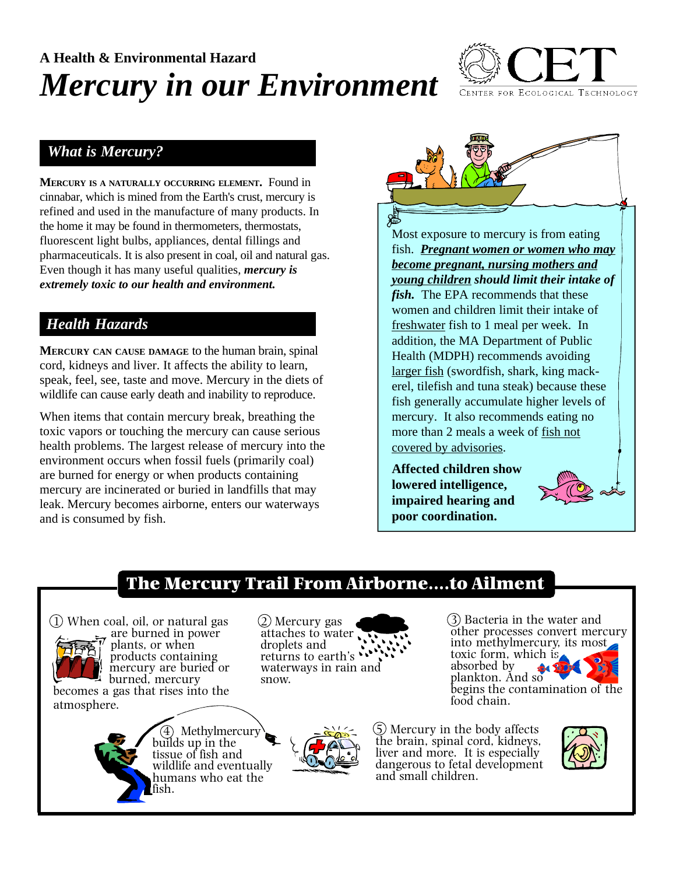# **A Health & Environmental Hazard** *Mercury in our Environment*



#### *What is Mercury?*

**MERCURY IS <sup>A</sup> NATURALLY OCCURRING ELEMENT.** Found in cinnabar, which is mined from the Earth's crust, mercury is refined and used in the manufacture of many products. In the home it may be found in thermometers, thermostats, fluorescent light bulbs, appliances, dental fillings and pharmaceuticals. It is also present in coal, oil and natural gas. Even though it has many useful qualities, *mercury is extremely toxic to our health and environment.*

## *Health Hazards*

**MERCURY CAN CAUSE DAMAGE** to the human brain, spinal cord, kidneys and liver. It affects the ability to learn, speak, feel, see, taste and move. Mercury in the diets of wildlife can cause early death and inability to reproduce.

When items that contain mercury break, breathing the toxic vapors or touching the mercury can cause serious health problems. The largest release of mercury into the environment occurs when fossil fuels (primarily coal) are burned for energy or when products containing mercury are incinerated or buried in landfills that may leak. Mercury becomes airborne, enters our waterways and is consumed by fish.



Most exposure to mercury is from eating fish. *Pregnant women or women who may become pregnant, nursing mothers and young children should limit their intake of fish.* The EPA recommends that these women and children limit their intake of freshwater fish to 1 meal per week. In addition, the MA Department of Public Health (MDPH) recommends avoiding larger fish (swordfish, shark, king mackerel, tilefish and tuna steak) because these fish generally accumulate higher levels of mercury. It also recommends eating no more than 2 meals a week of fish not covered by advisories.

**Affected children show lowered intelligence, impaired hearing and poor coordination.**



## The Mercury Trail From Airborne....to Ailment



are burned in power plants, or when products containing mercury are buried or burned, mercury

atmosphere.

becomes a gas that rises into the

2) Mercury gas attaches to water droplets and returns to earth's waterways in rain and snow.

3) Bacteria in the water and other processes convert mercury into methylmercury, its most toxic form, which is absorbed by plankton. And so begins the contamination of the food chain.

4) Methylmercury builds up in the tissue of fish and wildlife and eventually humans who eat the ish.



5) Mercury in the body affects the brain, spinal cord, kidneys, liver and more. It is especially dangerous to fetal development and small children.